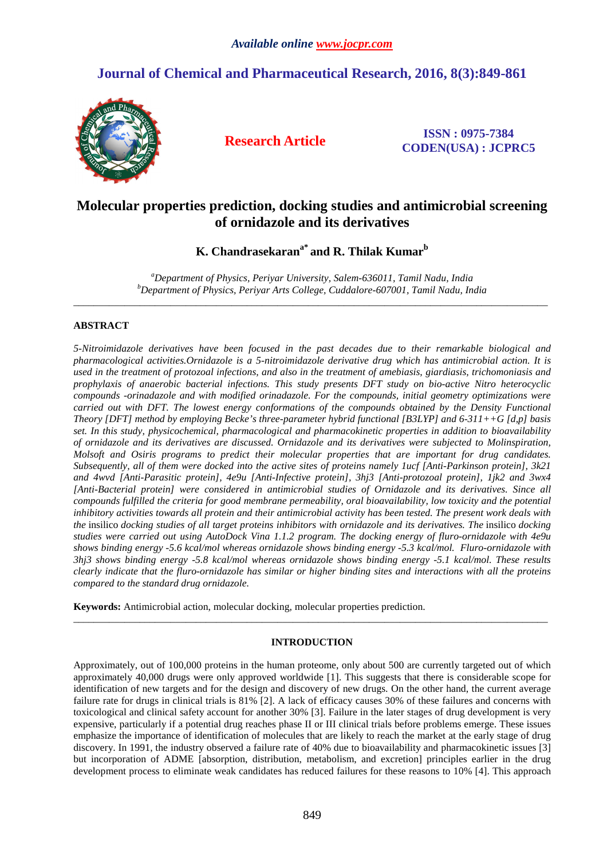# **Journal of Chemical and Pharmaceutical Research, 2016, 8(3):849-861**



**Research Article ISSN : 0975-7384 CODEN(USA) : JCPRC5**

# **Molecular properties prediction, docking studies and antimicrobial screening of ornidazole and its derivatives**

**K. Chandrasekarana\* and R. Thilak Kumar<sup>b</sup>**

*<sup>a</sup>Department of Physics, Periyar University, Salem-636011, Tamil Nadu, India <sup>b</sup>Department of Physics, Periyar Arts College, Cuddalore-607001, Tamil Nadu, India*   $\overline{a}$  , and the contribution of the contribution of the contribution of the contribution of the contribution of the contribution of the contribution of the contribution of the contribution of the contribution of the co

# **ABSTRACT**

*5-Nitroimidazole derivatives have been focused in the past decades due to their remarkable biological and pharmacological activities.Ornidazole is a 5-nitroimidazole derivative drug which has antimicrobial action. It is used in the treatment of protozoal infections, and also in the treatment of amebiasis, giardiasis, trichomoniasis and prophylaxis of anaerobic bacterial infections. This study presents DFT study on bio-active Nitro heterocyclic compounds -orinadazole and with modified orinadazole. For the compounds, initial geometry optimizations were carried out with DFT. The lowest energy conformations of the compounds obtained by the Density Functional Theory [DFT] method by employing Becke's three-parameter hybrid functional [B3LYP] and 6-311++G [d,p] basis set. In this study, physicochemical, pharmacological and pharmacokinetic properties in addition to bioavailability of ornidazole and its derivatives are discussed. Ornidazole and its derivatives were subjected to Molinspiration, Molsoft and Osiris programs to predict their molecular properties that are important for drug candidates. Subsequently, all of them were docked into the active sites of proteins namely 1ucf [Anti-Parkinson protein], 3k21 and 4wvd [Anti-Parasitic protein], 4e9u [Anti-Infective protein], 3hj3 [Anti-protozoal protein], 1jk2 and 3wx4*  [Anti-Bacterial protein] were considered in antimicrobial studies of Ornidazole and its derivatives. Since all *compounds fulfilled the criteria for good membrane permeability, oral bioavailability, low toxicity and the potential inhibitory activities towards all protein and their antimicrobial activity has been tested. The present work deals with the* insilico *docking studies of all target proteins inhibitors with ornidazole and its derivatives. The* insilico *docking studies were carried out using AutoDock Vina 1.1.2 program. The docking energy of fluro-ornidazole with 4e9u shows binding energy -5.6 kcal/mol whereas ornidazole shows binding energy -5.3 kcal/mol. Fluro-ornidazole with 3hj3 shows binding energy -5.8 kcal/mol whereas ornidazole shows binding energy -5.1 kcal/mol. These results clearly indicate that the fluro-ornidazole has similar or higher binding sites and interactions with all the proteins compared to the standard drug ornidazole.* 

**Keywords:** Antimicrobial action, molecular docking, molecular properties prediction.

# **INTRODUCTION**

\_\_\_\_\_\_\_\_\_\_\_\_\_\_\_\_\_\_\_\_\_\_\_\_\_\_\_\_\_\_\_\_\_\_\_\_\_\_\_\_\_\_\_\_\_\_\_\_\_\_\_\_\_\_\_\_\_\_\_\_\_\_\_\_\_\_\_\_\_\_\_\_\_\_\_\_\_\_\_\_\_\_\_\_\_\_\_\_\_\_\_\_\_

Approximately, out of 100,000 proteins in the human proteome, only about 500 are currently targeted out of which approximately 40,000 drugs were only approved worldwide [1]. This suggests that there is considerable scope for identification of new targets and for the design and discovery of new drugs. On the other hand, the current average failure rate for drugs in clinical trials is 81% [2]. A lack of efficacy causes 30% of these failures and concerns with toxicological and clinical safety account for another 30% [3]. Failure in the later stages of drug development is very expensive, particularly if a potential drug reaches phase II or III clinical trials before problems emerge. These issues emphasize the importance of identification of molecules that are likely to reach the market at the early stage of drug discovery. In 1991, the industry observed a failure rate of 40% due to bioavailability and pharmacokinetic issues [3] but incorporation of ADME [absorption, distribution, metabolism, and excretion] principles earlier in the drug development process to eliminate weak candidates has reduced failures for these reasons to 10% [4]. This approach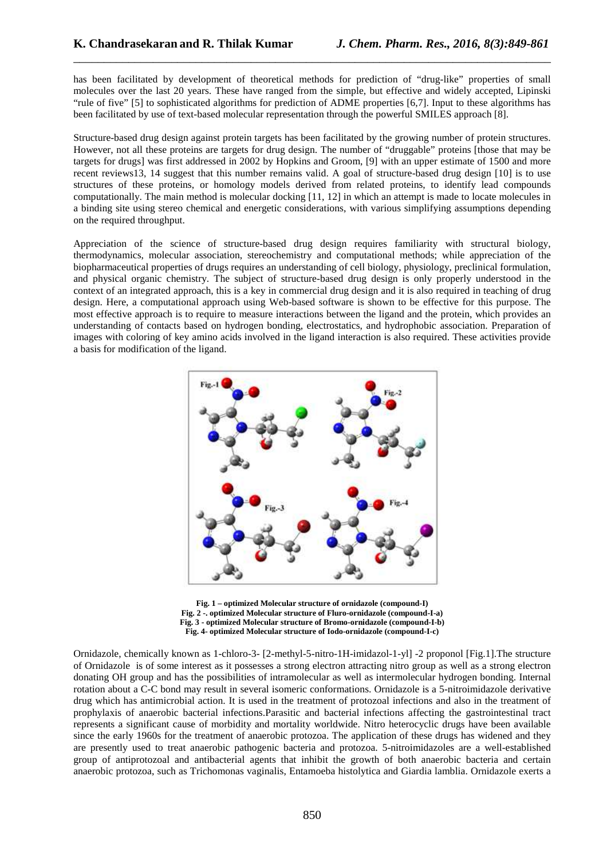has been facilitated by development of theoretical methods for prediction of "drug-like" properties of small molecules over the last 20 years. These have ranged from the simple, but effective and widely accepted, Lipinski "rule of five" [5] to sophisticated algorithms for prediction of ADME properties [6,7]. Input to these algorithms has been facilitated by use of text-based molecular representation through the powerful SMILES approach [8].

\_\_\_\_\_\_\_\_\_\_\_\_\_\_\_\_\_\_\_\_\_\_\_\_\_\_\_\_\_\_\_\_\_\_\_\_\_\_\_\_\_\_\_\_\_\_\_\_\_\_\_\_\_\_\_\_\_\_\_\_\_\_\_\_\_\_\_\_\_\_\_\_\_\_\_\_\_\_

Structure-based drug design against protein targets has been facilitated by the growing number of protein structures. However, not all these proteins are targets for drug design. The number of "druggable" proteins [those that may be targets for drugs] was first addressed in 2002 by Hopkins and Groom, [9] with an upper estimate of 1500 and more recent reviews13, 14 suggest that this number remains valid. A goal of structure-based drug design [10] is to use structures of these proteins, or homology models derived from related proteins, to identify lead compounds computationally. The main method is molecular docking [11, 12] in which an attempt is made to locate molecules in a binding site using stereo chemical and energetic considerations, with various simplifying assumptions depending on the required throughput.

Appreciation of the science of structure-based drug design requires familiarity with structural biology, thermodynamics, molecular association, stereochemistry and computational methods; while appreciation of the biopharmaceutical properties of drugs requires an understanding of cell biology, physiology, preclinical formulation, and physical organic chemistry. The subject of structure-based drug design is only properly understood in the context of an integrated approach, this is a key in commercial drug design and it is also required in teaching of drug design. Here, a computational approach using Web-based software is shown to be effective for this purpose. The most effective approach is to require to measure interactions between the ligand and the protein, which provides an understanding of contacts based on hydrogen bonding, electrostatics, and hydrophobic association. Preparation of images with coloring of key amino acids involved in the ligand interaction is also required. These activities provide a basis for modification of the ligand.



**Fig. 1 – optimized Molecular structure of ornidazole (compound-I) Fig. 2 -. optimized Molecular structure of Fluro-ornidazole (compound-I-a) Fig. 3 - optimized Molecular structure of Bromo-ornidazole (compound-I-b) Fig. 4- optimized Molecular structure of Iodo-ornidazole (compound-I-c)** 

Ornidazole, chemically known as 1-chloro-3- [2-methyl-5-nitro-1H-imidazol-1-yl] -2 proponol [Fig.1].The structure of Ornidazole is of some interest as it possesses a strong electron attracting nitro group as well as a strong electron donating OH group and has the possibilities of intramolecular as well as intermolecular hydrogen bonding. Internal rotation about a C-C bond may result in several isomeric conformations. Ornidazole is a 5-nitroimidazole derivative drug which has antimicrobial action. It is used in the treatment of protozoal infections and also in the treatment of prophylaxis of anaerobic bacterial infections.Parasitic and bacterial infections affecting the gastrointestinal tract represents a significant cause of morbidity and mortality worldwide. Nitro heterocyclic drugs have been available since the early 1960s for the treatment of anaerobic protozoa. The application of these drugs has widened and they are presently used to treat anaerobic pathogenic bacteria and protozoa. 5-nitroimidazoles are a well-established group of antiprotozoal and antibacterial agents that inhibit the growth of both anaerobic bacteria and certain anaerobic protozoa, such as Trichomonas vaginalis, Entamoeba histolytica and Giardia lamblia. Ornidazole exerts a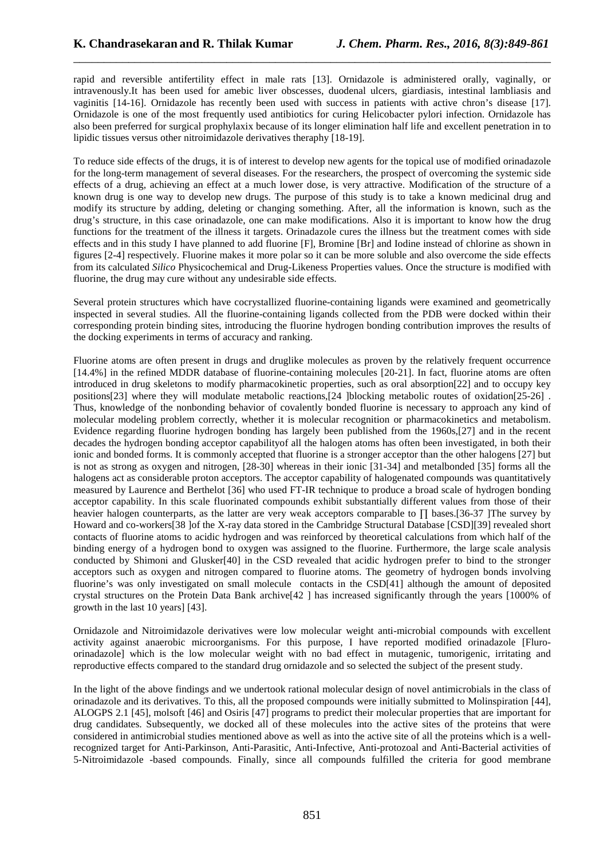rapid and reversible antifertility effect in male rats [13]. Ornidazole is administered orally, vaginally, or intravenously.It has been used for amebic liver obscesses, duodenal ulcers, giardiasis, intestinal lambliasis and vaginitis [14-16]. Ornidazole has recently been used with success in patients with active chron's disease [17]. Ornidazole is one of the most frequently used antibiotics for curing Helicobacter pylori infection. Ornidazole has also been preferred for surgical prophylaxix because of its longer elimination half life and excellent penetration in to lipidic tissues versus other nitroimidazole derivatives theraphy [18-19].

\_\_\_\_\_\_\_\_\_\_\_\_\_\_\_\_\_\_\_\_\_\_\_\_\_\_\_\_\_\_\_\_\_\_\_\_\_\_\_\_\_\_\_\_\_\_\_\_\_\_\_\_\_\_\_\_\_\_\_\_\_\_\_\_\_\_\_\_\_\_\_\_\_\_\_\_\_\_

To reduce side effects of the drugs, it is of interest to develop new agents for the topical use of modified orinadazole for the long-term management of several diseases. For the researchers, the prospect of overcoming the systemic side effects of a drug, achieving an effect at a much lower dose, is very attractive. Modification of the structure of a known drug is one way to develop new drugs. The purpose of this study is to take a known medicinal drug and modify its structure by adding, deleting or changing something. After, all the information is known, such as the drug's structure, in this case orinadazole, one can make modifications. Also it is important to know how the drug functions for the treatment of the illness it targets. Orinadazole cures the illness but the treatment comes with side effects and in this study I have planned to add fluorine [F], Bromine [Br] and Iodine instead of chlorine as shown in figures [2-4] respectively. Fluorine makes it more polar so it can be more soluble and also overcome the side effects from its calculated *Silico* Physicochemical and Drug-Likeness Properties values. Once the structure is modified with fluorine, the drug may cure without any undesirable side effects.

Several protein structures which have cocrystallized fluorine-containing ligands were examined and geometrically inspected in several studies. All the fluorine-containing ligands collected from the PDB were docked within their corresponding protein binding sites, introducing the fluorine hydrogen bonding contribution improves the results of the docking experiments in terms of accuracy and ranking.

Fluorine atoms are often present in drugs and druglike molecules as proven by the relatively frequent occurrence [14.4%] in the refined MDDR database of fluorine-containing molecules [20-21]. In fact, fluorine atoms are often introduced in drug skeletons to modify pharmacokinetic properties, such as oral absorption[22] and to occupy key positions[23] where they will modulate metabolic reactions,[24 ]blocking metabolic routes of oxidation[25-26] . Thus, knowledge of the nonbonding behavior of covalently bonded fluorine is necessary to approach any kind of molecular modeling problem correctly, whether it is molecular recognition or pharmacokinetics and metabolism. Evidence regarding fluorine hydrogen bonding has largely been published from the 1960s,[27] and in the recent decades the hydrogen bonding acceptor capabilityof all the halogen atoms has often been investigated, in both their ionic and bonded forms. It is commonly accepted that fluorine is a stronger acceptor than the other halogens [27] but is not as strong as oxygen and nitrogen, [28-30] whereas in their ionic [31-34] and metalbonded [35] forms all the halogens act as considerable proton acceptors. The acceptor capability of halogenated compounds was quantitatively measured by Laurence and Berthelot [36] who used FT-IR technique to produce a broad scale of hydrogen bonding acceptor capability. In this scale fluorinated compounds exhibit substantially different values from those of their heavier halogen counterparts, as the latter are very weak acceptors comparable to ∏ bases.[36-37 ]The survey by Howard and co-workers[38 ]of the X-ray data stored in the Cambridge Structural Database [CSD][39] revealed short contacts of fluorine atoms to acidic hydrogen and was reinforced by theoretical calculations from which half of the binding energy of a hydrogen bond to oxygen was assigned to the fluorine. Furthermore, the large scale analysis conducted by Shimoni and Glusker[40] in the CSD revealed that acidic hydrogen prefer to bind to the stronger acceptors such as oxygen and nitrogen compared to fluorine atoms. The geometry of hydrogen bonds involving fluorine's was only investigated on small molecule contacts in the CSD[41] although the amount of deposited crystal structures on the Protein Data Bank archive[42 ] has increased significantly through the years [1000% of growth in the last 10 years] [43].

Ornidazole and Nitroimidazole derivatives were low molecular weight anti-microbial compounds with excellent activity against anaerobic microorganisms. For this purpose, I have reported modified orinadazole [Fluroorinadazole] which is the low molecular weight with no bad effect in mutagenic, tumorigenic, irritating and reproductive effects compared to the standard drug ornidazole and so selected the subject of the present study.

In the light of the above findings and we undertook rational molecular design of novel antimicrobials in the class of orinadazole and its derivatives. To this, all the proposed compounds were initially submitted to Molinspiration [44], ALOGPS 2.1 [45], molsoft [46] and Osiris [47] programs to predict their molecular properties that are important for drug candidates. Subsequently, we docked all of these molecules into the active sites of the proteins that were considered in antimicrobial studies mentioned above as well as into the active site of all the proteins which is a wellrecognized target for Anti-Parkinson, Anti-Parasitic, Anti-Infective, Anti-protozoal and Anti-Bacterial activities of 5-Nitroimidazole -based compounds. Finally, since all compounds fulfilled the criteria for good membrane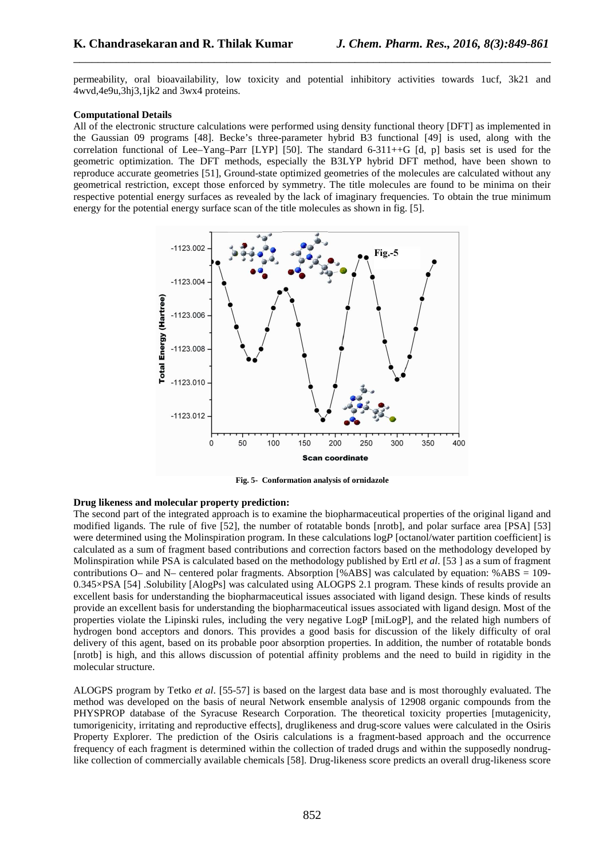permeability, oral bioavailability, low toxicity and potential inhibitory activities towards 1ucf, 3k21 and 4wvd,4e9u,3hj3,1jk2 and 3wx4 proteins.

\_\_\_\_\_\_\_\_\_\_\_\_\_\_\_\_\_\_\_\_\_\_\_\_\_\_\_\_\_\_\_\_\_\_\_\_\_\_\_\_\_\_\_\_\_\_\_\_\_\_\_\_\_\_\_\_\_\_\_\_\_\_\_\_\_\_\_\_\_\_\_\_\_\_\_\_\_\_

#### **Computational Details**

All of the electronic structure calculations were performed using density functional theory [DFT] as implemented in the Gaussian 09 programs [48]. Becke's three-parameter hybrid B3 functional [49] is used, along with the correlation functional of Lee–Yang–Parr [LYP] [50]. The standard  $6-311++G$  [d, p] basis set is used for the geometric optimization. The DFT methods, especially the B3LYP hybrid DFT method, have been shown to reproduce accurate geometries [51], Ground-state optimized geometries of the molecules are calculated without any geometrical restriction, except those enforced by symmetry. The title molecules are found to be minima on their respective potential energy surfaces as revealed by the lack of imaginary frequencies. To obtain the true minimum energy for the potential energy surface scan of the title molecules as shown in fig. [5].



**Fig. 5- Conformation analysis of ornidazole** 

#### **Drug likeness and molecular property prediction:**

The second part of the integrated approach is to examine the biopharmaceutical properties of the original ligand and modified ligands. The rule of five [52], the number of rotatable bonds [nrotb], and polar surface area [PSA] [53] were determined using the Molinspiration program. In these calculations  $logP$  [octanol/water partition coefficient] is calculated as a sum of fragment based contributions and correction factors based on the methodology developed by Molinspiration while PSA is calculated based on the methodology published by Ertl *et al*. [53 ] as a sum of fragment contributions O– and N– centered polar fragments. Absorption [%ABS] was calculated by equation: %ABS = 109- 0.345×PSA [54] .Solubility [AlogPs] was calculated using ALOGPS 2.1 program. These kinds of results provide an excellent basis for understanding the biopharmaceutical issues associated with ligand design. These kinds of results provide an excellent basis for understanding the biopharmaceutical issues associated with ligand design. Most of the properties violate the Lipinski rules, including the very negative LogP [miLogP], and the related high numbers of hydrogen bond acceptors and donors. This provides a good basis for discussion of the likely difficulty of oral delivery of this agent, based on its probable poor absorption properties. In addition, the number of rotatable bonds [nrotb] is high, and this allows discussion of potential affinity problems and the need to build in rigidity in the molecular structure.

ALOGPS program by Tetko *et al*. [55-57] is based on the largest data base and is most thoroughly evaluated. The method was developed on the basis of neural Network ensemble analysis of 12908 organic compounds from the PHYSPROP database of the Syracuse Research Corporation. The theoretical toxicity properties [mutagenicity, tumorigenicity, irritating and reproductive effects], druglikeness and drug-score values were calculated in the Osiris Property Explorer. The prediction of the Osiris calculations is a fragment-based approach and the occurrence frequency of each fragment is determined within the collection of traded drugs and within the supposedly nondruglike collection of commercially available chemicals [58]. Drug-likeness score predicts an overall drug-likeness score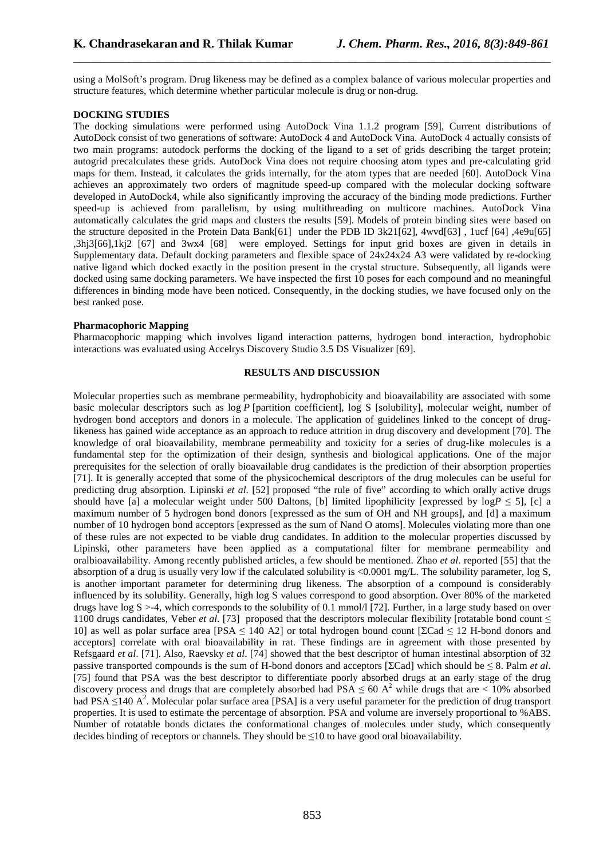using a MolSoft's program. Drug likeness may be defined as a complex balance of various molecular properties and structure features, which determine whether particular molecule is drug or non-drug.

\_\_\_\_\_\_\_\_\_\_\_\_\_\_\_\_\_\_\_\_\_\_\_\_\_\_\_\_\_\_\_\_\_\_\_\_\_\_\_\_\_\_\_\_\_\_\_\_\_\_\_\_\_\_\_\_\_\_\_\_\_\_\_\_\_\_\_\_\_\_\_\_\_\_\_\_\_\_

# **DOCKING STUDIES**

The docking simulations were performed using AutoDock Vina 1.1.2 program [59], Current distributions of AutoDock consist of two generations of software: AutoDock 4 and AutoDock Vina. AutoDock 4 actually consists of two main programs: autodock performs the docking of the ligand to a set of grids describing the target protein; autogrid precalculates these grids. AutoDock Vina does not require choosing atom types and pre-calculating grid maps for them. Instead, it calculates the grids internally, for the atom types that are needed [60]. AutoDock Vina achieves an approximately two orders of magnitude speed-up compared with the molecular docking software developed in AutoDock4, while also significantly improving the accuracy of the binding mode predictions. Further speed-up is achieved from parallelism, by using multithreading on multicore machines. AutoDock Vina automatically calculates the grid maps and clusters the results [59]. Models of protein binding sites were based on the structure deposited in the Protein Data Bank[61] under the PDB ID 3k21[62], 4wvd[63] , 1ucf [64] ,4e9u[65] ,3hj3[66],1kj2 [67] and 3wx4 [68] were employed. Settings for input grid boxes are given in details in Supplementary data. Default docking parameters and flexible space of 24x24x24 A3 were validated by re-docking native ligand which docked exactly in the position present in the crystal structure. Subsequently, all ligands were docked using same docking parameters. We have inspected the first 10 poses for each compound and no meaningful differences in binding mode have been noticed. Consequently, in the docking studies, we have focused only on the best ranked pose.

### **Pharmacophoric Mapping**

Pharmacophoric mapping which involves ligand interaction patterns, hydrogen bond interaction, hydrophobic interactions was evaluated using Accelrys Discovery Studio 3.5 DS Visualizer [69].

### **RESULTS AND DISCUSSION**

Molecular properties such as membrane permeability, hydrophobicity and bioavailability are associated with some basic molecular descriptors such as log *P* [partition coefficient], log S [solubility], molecular weight, number of hydrogen bond acceptors and donors in a molecule. The application of guidelines linked to the concept of druglikeness has gained wide acceptance as an approach to reduce attrition in drug discovery and development [70]. The knowledge of oral bioavailability, membrane permeability and toxicity for a series of drug-like molecules is a fundamental step for the optimization of their design, synthesis and biological applications. One of the major prerequisites for the selection of orally bioavailable drug candidates is the prediction of their absorption properties [71]. It is generally accepted that some of the physicochemical descriptors of the drug molecules can be useful for predicting drug absorption. Lipinski *et al*. [52] proposed "the rule of five" according to which orally active drugs should have [a] a molecular weight under 500 Daltons, [b] limited lipophilicity [expressed by log*P* ≤ 5], [c] a maximum number of 5 hydrogen bond donors [expressed as the sum of OH and NH groups], and [d] a maximum number of 10 hydrogen bond acceptors [expressed as the sum of Nand O atoms]. Molecules violating more than one of these rules are not expected to be viable drug candidates. In addition to the molecular properties discussed by Lipinski, other parameters have been applied as a computational filter for membrane permeability and oralbioavailability. Among recently published articles, a few should be mentioned. Zhao *et al*. reported [55] that the absorption of a drug is usually very low if the calculated solubility is <0.0001 mg/L. The solubility parameter, log S, is another important parameter for determining drug likeness. The absorption of a compound is considerably influenced by its solubility. Generally, high log S values correspond to good absorption. Over 80% of the marketed drugs have  $\log S > -4$ , which corresponds to the solubility of 0.1 mmol/l [72]. Further, in a large study based on over 1100 drugs candidates, Veber *et al*. [73] proposed that the descriptors molecular flexibility [rotatable bond count ≤ 10] as well as polar surface area [PSA ≤ 140 A2] or total hydrogen bound count [ΣCad ≤ 12 H-bond donors and acceptors] correlate with oral bioavailability in rat. These findings are in agreement with those presented by Refsgaard *et al*. [71]. Also, Raevsky *et al*. [74] showed that the best descriptor of human intestinal absorption of 32 passive transported compounds is the sum of H-bond donors and acceptors [ΣCad] which should be ≤ 8. Palm *et al*. [75] found that PSA was the best descriptor to differentiate poorly absorbed drugs at an early stage of the drug discovery process and drugs that are completely absorbed had PSA  $\leq 60$  A<sup>2</sup> while drugs that are  $< 10\%$  absorbed had PSA  $\leq$ 140 A<sup>2</sup>. Molecular polar surface area [PSA] is a very useful parameter for the prediction of drug transport properties. It is used to estimate the percentage of absorption. PSA and volume are inversely proportional to %ABS. Number of rotatable bonds dictates the conformational changes of molecules under study, which consequently decides binding of receptors or channels. They should be ≤10 to have good oral bioavailability.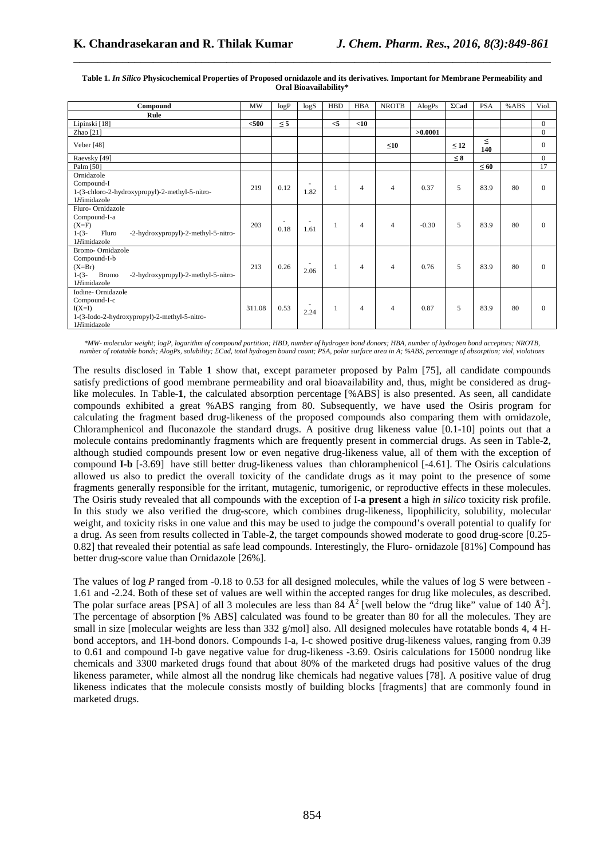| Compound                                                                                                                      | <b>MW</b> | logP                             | log S | <b>HBD</b> | <b>HBA</b> | <b>NROTB</b>   | AlogPs  | $\Sigma$ Cad | <b>PSA</b>    | %ABS | Viol.          |
|-------------------------------------------------------------------------------------------------------------------------------|-----------|----------------------------------|-------|------------|------------|----------------|---------|--------------|---------------|------|----------------|
| Rule                                                                                                                          |           |                                  |       |            |            |                |         |              |               |      |                |
| Lipinski [18]                                                                                                                 | $500$     | $\leq$ 5                         |       | $\leq$ 5   | $<$ 10     |                |         |              |               |      | $\overline{0}$ |
| Zhao $[21]$                                                                                                                   |           |                                  |       |            |            |                | >0.0001 |              |               |      | $\mathbf{0}$   |
| Veber [48]                                                                                                                    |           |                                  |       |            |            | $\leq10$       |         | $\leq 12$    | $\leq$<br>140 |      | $\Omega$       |
| Raevsky [49]                                                                                                                  |           |                                  |       |            |            |                |         | $\leq 8$     |               |      | $\Omega$       |
| Palm [50]                                                                                                                     |           |                                  |       |            |            |                |         |              | $\leq 60$     |      | 17             |
| Ornidazole<br>Compound-I<br>1-(3-chloro-2-hydroxypropyl)-2-methyl-5-nitro-<br>1Himidazole                                     | 219       | 0.12                             | 1.82  |            | 4          | $\overline{4}$ | 0.37    | 5            | 83.9          | 80   | $\Omega$       |
| Fluro-Ornidazole<br>Compound-I-a<br>$(X=F)$<br>$1-(3-$<br>Fluro<br>-2-hydroxypropyl)-2-methyl-5-nitro-<br>1Himidazole         | 203       | $\overline{\phantom{a}}$<br>0.18 | 1.61  |            | 4          | $\overline{4}$ | $-0.30$ | 5            | 83.9          | 80   | $\Omega$       |
| Bromo-Ornidazole<br>Compound-I-b<br>$(X=Br)$<br>$1-(3-$<br><b>Bromo</b><br>-2-hydroxypropyl)-2-methyl-5-nitro-<br>1Himidazole | 213       | 0.26                             | 2.06  |            | 4          | $\overline{4}$ | 0.76    | 5            | 83.9          | 80   | $\Omega$       |
| Iodine-Ornidazole<br>Compound-I-c<br>$I(X=I)$<br>1-(3-Iodo-2-hydroxypropyl)-2-methyl-5-nitro-<br>1Himidazole                  | 311.08    | 0.53                             | 2.24  |            | 4          | $\overline{4}$ | 0.87    | 5            | 83.9          | 80   | $\Omega$       |

#### **Table 1.** *In Silico* **Physicochemical Properties of Proposed ornidazole and its derivatives. Important for Membrane Permeability and Oral Bioavailability\***

\_\_\_\_\_\_\_\_\_\_\_\_\_\_\_\_\_\_\_\_\_\_\_\_\_\_\_\_\_\_\_\_\_\_\_\_\_\_\_\_\_\_\_\_\_\_\_\_\_\_\_\_\_\_\_\_\_\_\_\_\_\_\_\_\_\_\_\_\_\_\_\_\_\_\_\_\_\_

*\*MW- molecular weight; logP, logarithm of compound partition; HBD, number of hydrogen bond donors; HBA, number of hydrogen bond acceptors; NROTB, number of rotatable bonds; AlogPs, solubility; ΣCad, total hydrogen bound count; PSA, polar surface area in A; %ABS, percentage of absorption; viol, violations* 

The results disclosed in Table **1** show that, except parameter proposed by Palm [75], all candidate compounds satisfy predictions of good membrane permeability and oral bioavailability and, thus, might be considered as druglike molecules. In Table-**1**, the calculated absorption percentage [%ABS] is also presented. As seen, all candidate compounds exhibited a great %ABS ranging from 80. Subsequently, we have used the Osiris program for calculating the fragment based drug-likeness of the proposed compounds also comparing them with ornidazole, Chloramphenicol and fluconazole the standard drugs. A positive drug likeness value [0.1-10] points out that a molecule contains predominantly fragments which are frequently present in commercial drugs. As seen in Table-**2**, although studied compounds present low or even negative drug-likeness value, all of them with the exception of compound **I-b** [-3.69] have still better drug-likeness values than chloramphenicol [-4.61]. The Osiris calculations allowed us also to predict the overall toxicity of the candidate drugs as it may point to the presence of some fragments generally responsible for the irritant, mutagenic, tumorigenic, or reproductive effects in these molecules. The Osiris study revealed that all compounds with the exception of I**-a present** a high *in silico* toxicity risk profile. In this study we also verified the drug-score, which combines drug-likeness, lipophilicity, solubility, molecular weight, and toxicity risks in one value and this may be used to judge the compound's overall potential to qualify for a drug. As seen from results collected in Table-**2**, the target compounds showed moderate to good drug-score [0.25- 0.82] that revealed their potential as safe lead compounds. Interestingly, the Fluro- ornidazole [81%] Compound has better drug-score value than Ornidazole [26%].

The values of log *P* ranged from -0.18 to 0.53 for all designed molecules, while the values of log S were between -1.61 and -2.24. Both of these set of values are well within the accepted ranges for drug like molecules, as described. The polar surface areas [PSA] of all 3 molecules are less than 84  $\AA^2$  [well below the "drug like" value of 140  $\AA^2$ ]. The percentage of absorption [% ABS] calculated was found to be greater than 80 for all the molecules. They are small in size [molecular weights are less than 332 g/mol] also. All designed molecules have rotatable bonds 4, 4 Hbond acceptors, and 1H-bond donors. Compounds I-a, I-c showed positive drug-likeness values, ranging from 0.39 to 0.61 and compound I-b gave negative value for drug-likeness -3.69. Osiris calculations for 15000 nondrug like chemicals and 3300 marketed drugs found that about 80% of the marketed drugs had positive values of the drug likeness parameter, while almost all the nondrug like chemicals had negative values [78]. A positive value of drug likeness indicates that the molecule consists mostly of building blocks [fragments] that are commonly found in marketed drugs.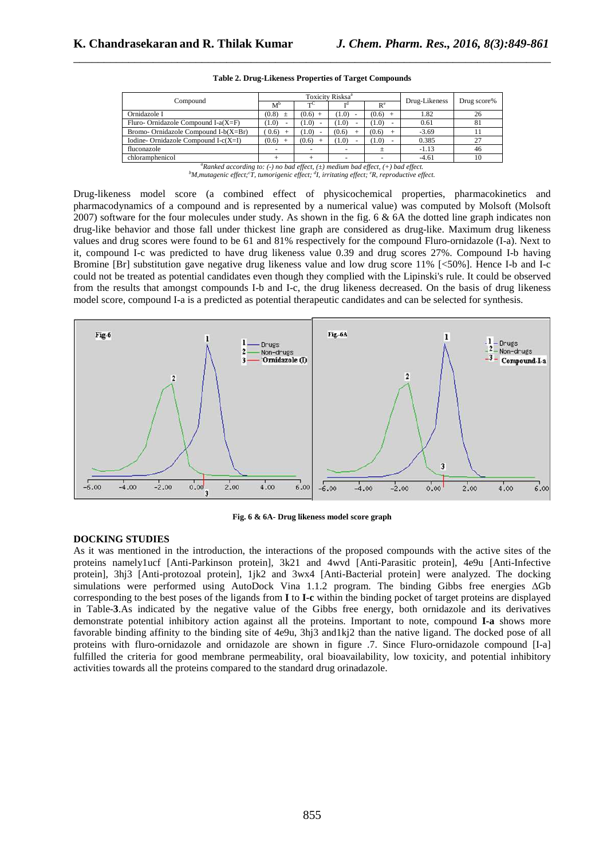| Compound                                |                |           | Toxicity Risksa <sup>a</sup> | Drug-Likeness | Drug score% |    |  |
|-----------------------------------------|----------------|-----------|------------------------------|---------------|-------------|----|--|
|                                         | $M^{\rm b}$    |           |                              | $R^e$         |             |    |  |
| Ornidazole I                            | (0.8)<br>$\pm$ | $(0.6)$ + | (1.0)                        | (0.6)         | 1.82        | 26 |  |
| Fluro- Ornidazole Compound I-a $(X=F)$  | 1.0)           | (1.0)     | (1.0)                        | (1.0)         | 0.61        | 81 |  |
| Bromo- Ornidazole Compound $I-b(X=Br)$  | (0.6)          | (1.0)     | (0.6)                        | (0.6)         | $-3.69$     |    |  |
| Iodine- Ornidazole Compound I-c $(X=I)$ | (0.6)          | (0.6)     | (1.0)                        | (1.0)         | 0.385       | 27 |  |
| fluconazole                             |                |           |                              |               | $-1.13$     | 46 |  |
| chloramphenicol                         |                |           |                              |               | $-4.61$     | 10 |  |

\_\_\_\_\_\_\_\_\_\_\_\_\_\_\_\_\_\_\_\_\_\_\_\_\_\_\_\_\_\_\_\_\_\_\_\_\_\_\_\_\_\_\_\_\_\_\_\_\_\_\_\_\_\_\_\_\_\_\_\_\_\_\_\_\_\_\_\_\_\_\_\_\_\_\_\_\_\_ **Table 2. Drug-Likeness Properties of Target Compounds** 

Drug-likeness model score (a combined effect of physicochemical properties, pharmacokinetics and pharmacodynamics of a compound and is represented by a numerical value) was computed by Molsoft (Molsoft 2007) software for the four molecules under study. As shown in the fig. 6 & 6A the dotted line graph indicates non drug-like behavior and those fall under thickest line graph are considered as drug-like. Maximum drug likeness values and drug scores were found to be 61 and 81% respectively for the compound Fluro-ornidazole (I-a). Next to it, compound I-c was predicted to have drug likeness value 0.39 and drug scores 27%. Compound I-b having Bromine [Br] substitution gave negative drug likeness value and low drug score 11% [<50%]. Hence I-b and I-c could not be treated as potential candidates even though they complied with the Lipinski's rule. It could be observed from the results that amongst compounds I-b and I-c, the drug likeness decreased. On the basis of drug likeness model score, compound I-a is a predicted as potential therapeutic candidates and can be selected for synthesis.



**Fig. 6 & 6A- Drug likeness model score graph** 

### **DOCKING STUDIES**

As it was mentioned in the introduction, the interactions of the proposed compounds with the active sites of the proteins namely1ucf [Anti-Parkinson protein], 3k21 and 4wvd [Anti-Parasitic protein], 4e9u [Anti-Infective protein], 3hj3 [Anti-protozoal protein], 1jk2 and 3wx4 [Anti-Bacterial protein] were analyzed. The docking simulations were performed using AutoDock Vina 1.1.2 program. The binding Gibbs free energies ∆Gb corresponding to the best poses of the ligands from **I** to **I-c** within the binding pocket of target proteins are displayed in Table-**3**.As indicated by the negative value of the Gibbs free energy, both ornidazole and its derivatives demonstrate potential inhibitory action against all the proteins. Important to note, compound **I-a** shows more favorable binding affinity to the binding site of 4e9u, 3hj3 and1kj2 than the native ligand. The docked pose of all proteins with fluro-ornidazole and ornidazole are shown in figure .7. Since Fluro-ornidazole compound [I-a] fulfilled the criteria for good membrane permeability, oral bioavailability, low toxicity, and potential inhibitory activities towards all the proteins compared to the standard drug orinadazole.

 $a^a$ *Ranked according to: (-) no bad effect, (* $\pm$ *) medium bad effect, (+) bad effect. <sup>b</sup>M,mutagenic effect;<sup>c</sup> T, tumorigenic effect; <sup>d</sup> I, irritating effect; <sup>e</sup>R, reproductive effect.*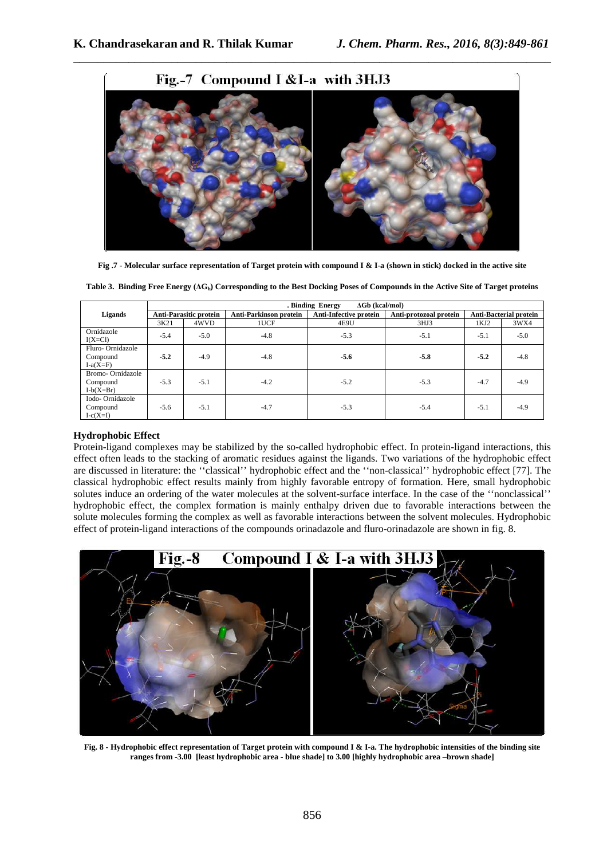

\_\_\_\_\_\_\_\_\_\_\_\_\_\_\_\_\_\_\_\_\_\_\_\_\_\_\_\_\_\_\_\_\_\_\_\_\_\_\_\_\_\_\_\_\_\_\_\_\_\_\_\_\_\_\_\_\_\_\_\_\_\_\_\_\_\_\_\_\_\_\_\_\_\_\_\_\_\_

**Fig .7 - Molecular surface representation of Target protein with compound I & I-a (shown in stick) docked in the active site** 

|                                             | $\Delta Gb$ (kcal/mol)<br>. Binding Energy |        |                               |                               |                        |                               |        |  |  |  |
|---------------------------------------------|--------------------------------------------|--------|-------------------------------|-------------------------------|------------------------|-------------------------------|--------|--|--|--|
| Ligands                                     | <b>Anti-Parasitic protein</b>              |        | <b>Anti-Parkinson protein</b> | <b>Anti-Infective protein</b> | Anti-protozoal protein | <b>Anti-Bacterial protein</b> |        |  |  |  |
|                                             | 3K21                                       | 4WVD   | 1UCF                          | 4E9U                          | 3HJ3                   | 1KJ2                          | 3WX4   |  |  |  |
| Ornidazole<br>$I(X=Cl)$                     | $-5.4$                                     | $-5.0$ | $-4.8$                        | $-5.3$                        | $-5.1$                 | $-5.1$                        | $-5.0$ |  |  |  |
| Fluro-Ornidazole<br>Compound<br>$I-a(X=F)$  | $-5.2$                                     | $-4.9$ | $-4.8$                        | $-5.6$                        | $-5.8$                 | $-5.2$                        | $-4.8$ |  |  |  |
| Bromo-Ornidazole<br>Compound<br>$I-b(X=Br)$ | $-5.3$                                     | $-5.1$ | $-4.2$                        | $-5.2$                        | $-5.3$                 | $-4.7$                        | $-4.9$ |  |  |  |
| Iodo-Ornidazole<br>Compound<br>$I-c(X=I)$   | $-5.6$                                     | $-5.1$ | $-4.7$                        | $-5.3$                        | $-5.4$                 | $-5.1$                        | $-4.9$ |  |  |  |

**Table 3. Binding Free Energy (∆Gb) Corresponding to the Best Docking Poses of Compounds in the Active Site of Target proteins** 

# **Hydrophobic Effect**

Protein-ligand complexes may be stabilized by the so-called hydrophobic effect. In protein-ligand interactions, this effect often leads to the stacking of aromatic residues against the ligands. Two variations of the hydrophobic effect are discussed in literature: the ''classical'' hydrophobic effect and the ''non-classical'' hydrophobic effect [77]. The classical hydrophobic effect results mainly from highly favorable entropy of formation. Here, small hydrophobic solutes induce an ordering of the water molecules at the solvent-surface interface. In the case of the ''nonclassical'' hydrophobic effect, the complex formation is mainly enthalpy driven due to favorable interactions between the solute molecules forming the complex as well as favorable interactions between the solvent molecules. Hydrophobic effect of protein-ligand interactions of the compounds orinadazole and fluro-orinadazole are shown in fig. 8.



**Fig. 8 - Hydrophobic effect representation of Target protein with compound I & I-a. The hydrophobic intensities of the binding site ranges from -3.00 [least hydrophobic area - blue shade] to 3.00 [highly hydrophobic area –brown shade]**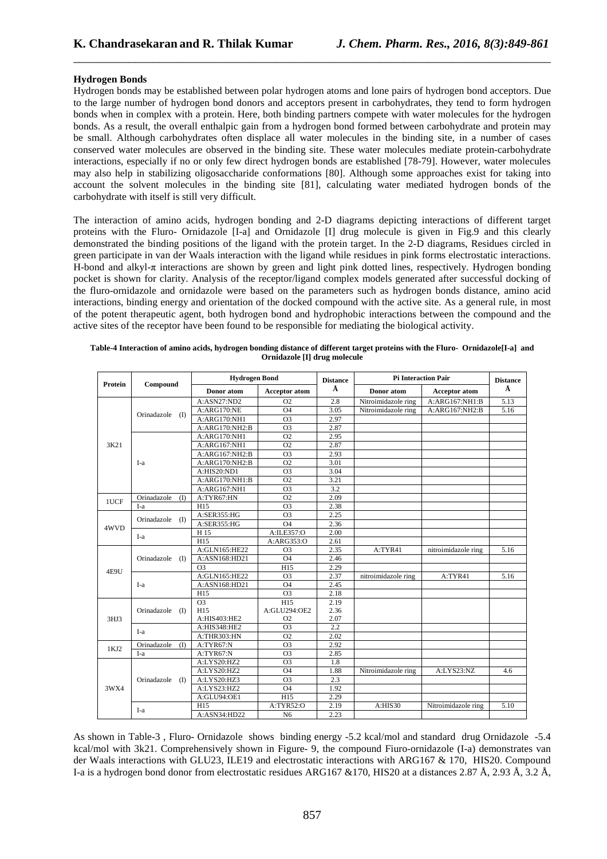# **Hydrogen Bonds**

Hydrogen bonds may be established between polar hydrogen atoms and lone pairs of hydrogen bond acceptors. Due to the large number of hydrogen bond donors and acceptors present in carbohydrates, they tend to form hydrogen bonds when in complex with a protein. Here, both binding partners compete with water molecules for the hydrogen bonds. As a result, the overall enthalpic gain from a hydrogen bond formed between carbohydrate and protein may be small. Although carbohydrates often displace all water molecules in the binding site, in a number of cases conserved water molecules are observed in the binding site. These water molecules mediate protein-carbohydrate interactions, especially if no or only few direct hydrogen bonds are established [78-79]. However, water molecules may also help in stabilizing oligosaccharide conformations [80]. Although some approaches exist for taking into account the solvent molecules in the binding site [81], calculating water mediated hydrogen bonds of the carbohydrate with itself is still very difficult.

\_\_\_\_\_\_\_\_\_\_\_\_\_\_\_\_\_\_\_\_\_\_\_\_\_\_\_\_\_\_\_\_\_\_\_\_\_\_\_\_\_\_\_\_\_\_\_\_\_\_\_\_\_\_\_\_\_\_\_\_\_\_\_\_\_\_\_\_\_\_\_\_\_\_\_\_\_\_

The interaction of amino acids, hydrogen bonding and 2-D diagrams depicting interactions of different target proteins with the Fluro- Ornidazole [I-a] and Ornidazole [I] drug molecule is given in Fig.9 and this clearly demonstrated the binding positions of the ligand with the protein target. In the 2-D diagrams, Residues circled in green participate in van der Waals interaction with the ligand while residues in pink forms electrostatic interactions. H-bond and alkyl-π interactions are shown by green and light pink dotted lines, respectively. Hydrogen bonding pocket is shown for clarity. Analysis of the receptor/ligand complex models generated after successful docking of the fluro-ornidazole and ornidazole were based on the parameters such as hydrogen bonds distance, amino acid interactions, binding energy and orientation of the docked compound with the active site. As a general rule, in most of the potent therapeutic agent, both hydrogen bond and hydrophobic interactions between the compound and the active sites of the receptor have been found to be responsible for mediating the biological activity.

|         |                             | <b>Hydrogen Bond</b> |                 | <b>Distance</b> | <b>Pi Interaction Pair</b> | <b>Distance</b>      |      |  |
|---------|-----------------------------|----------------------|-----------------|-----------------|----------------------------|----------------------|------|--|
| Protein | Compound                    | Donor atom           | Acceptor atom   | Å               | Donor atom                 | <b>Acceptor atom</b> | Å    |  |
|         |                             | A:ASN27:ND2          | O <sub>2</sub>  | 2.8             | Nitroimidazole ring        | A:ARG167:NH1:B       | 5.13 |  |
|         |                             | A:ARG170:NE          | $\overline{04}$ | 3.05            | Nitroimidazole ring        | A:ARG167:NH2:B       | 5.16 |  |
|         | Orinadazole (I)             | A:ARG170:NH1         | O <sub>3</sub>  | 2.97            |                            |                      |      |  |
|         |                             | A:ARG170:NH2:B       | $\overline{O3}$ | 2.87            |                            |                      |      |  |
|         |                             | A:ARG170:NH1         | O <sub>2</sub>  | 2.95            |                            |                      |      |  |
| 3K21    |                             | A:ARG167:NH1         | O <sub>2</sub>  | 2.87            |                            |                      |      |  |
|         |                             | A:ARG167:NH2:B       | O <sub>3</sub>  | 2.93            |                            |                      |      |  |
|         | I-a                         | A:ARG170:NH2:B       | $\overline{O2}$ | 3.01            |                            |                      |      |  |
|         |                             | A:HIS20:ND1          | O <sub>3</sub>  | 3.04            |                            |                      |      |  |
|         |                             | A:ARG170:NH1:B       | O <sub>2</sub>  | 3.21            |                            |                      |      |  |
|         |                             | A:ARG167:NH1         | $\overline{O3}$ | 3.2             |                            |                      |      |  |
|         | Orinadazole<br>$($ $\Gamma$ | A:TYR67:HN           | O <sub>2</sub>  | 2.09            |                            |                      |      |  |
| 1UCF    | I-a                         | H15                  | $\overline{O3}$ | 2.38            |                            |                      |      |  |
|         | Orinadazole (I)             | A:SER355:HG          | O <sub>3</sub>  | 2.25            |                            |                      |      |  |
| 4WVD    |                             | A:SER355:HG          | O <sub>4</sub>  | 2.36            |                            |                      |      |  |
|         | I-a                         | H 15                 | A:ILE357:O      | 2.00            |                            |                      |      |  |
|         |                             | H15                  | A:ARG353:O      | 2.61            |                            |                      |      |  |
|         | Orinadazole<br>(I)          | A:GLN165:HE22        | O <sub>3</sub>  | 2.35            | A:TYR41                    | nitroimidazole ring  | 5.16 |  |
|         |                             | A:ASN168:HD21        | <b>O4</b>       | 2.46            |                            |                      |      |  |
|         |                             | O <sub>3</sub>       | H15             | 2.29            |                            |                      |      |  |
| 4E9U    | I-a                         | A:GLN165:HE22        | O <sub>3</sub>  | 2.37            | nitroimidazole ring        | A:TYR41              | 5.16 |  |
|         |                             | A:ASN168:HD21        | $\overline{O4}$ | 2.45            |                            |                      |      |  |
|         |                             | H15                  | O <sub>3</sub>  | 2.18            |                            |                      |      |  |
|         | Orinadazole (I)             | O <sub>3</sub>       | H15             | 2.19            |                            |                      |      |  |
|         |                             | H15                  | A:GLU294:OE2    | 2.36            |                            |                      |      |  |
| 3HJ3    |                             | A:HIS403:HE2         | O <sub>2</sub>  | 2.07            |                            |                      |      |  |
|         | I-a                         | A:HIS348:HE2         | $\overline{O3}$ | 2.2             |                            |                      |      |  |
|         |                             | A:THR303:HN          | O <sub>2</sub>  | 2.02            |                            |                      |      |  |
| 1KJ2    | (1)<br>Orinadazole          | A:TYR67:N            | O <sub>3</sub>  | 2.92            |                            |                      |      |  |
|         | I-a                         | A:TYR67:N            | O <sub>3</sub>  | 2.85            |                            |                      |      |  |
| 3WX4    | Orinadazole (I)             | A:LYS20:HZ2          | O <sub>3</sub>  | 1.8             |                            |                      |      |  |
|         |                             | A:LYS20:HZ2          | <b>O4</b>       | 1.88            | Nitroimidazole ring        | A:LYS23:NZ           | 4.6  |  |
|         |                             | A:LYS20:HZ3          | O <sub>3</sub>  | 2.3             |                            |                      |      |  |
|         |                             | A:LYS23:HZ2          | O <sub>4</sub>  | 1.92            |                            |                      |      |  |
|         |                             | A:GLU94:OE1          | H15             | 2.29            |                            |                      |      |  |
|         |                             | H15                  | A:TYR52:O       | 2.19            | A:HIS30                    | Nitroimidazole ring  | 5.10 |  |
|         | I-a                         | A:ASN34:HD22         | N <sub>6</sub>  | 2.23            |                            |                      |      |  |

| Table-4 Interaction of amino acids, hydrogen bonding distance of different target proteins with the Fluro- Ornidazole [I-a] and |  |
|---------------------------------------------------------------------------------------------------------------------------------|--|
| Ornidazole [I] drug molecule                                                                                                    |  |

As shown in Table-3 , Fluro- Ornidazole shows binding energy -5.2 kcal/mol and standard drug Ornidazole -5.4 kcal/mol with 3k21. Comprehensively shown in Figure- 9, the compound Fiuro-ornidazole (I-a) demonstrates van der Waals interactions with GLU23, ILE19 and electrostatic interactions with ARG167 & 170, HIS20. Compound I-a is a hydrogen bond donor from electrostatic residues ARG167 &170, HIS20 at a distances 2.87 Å, 2.93 Å, 3.2 Å,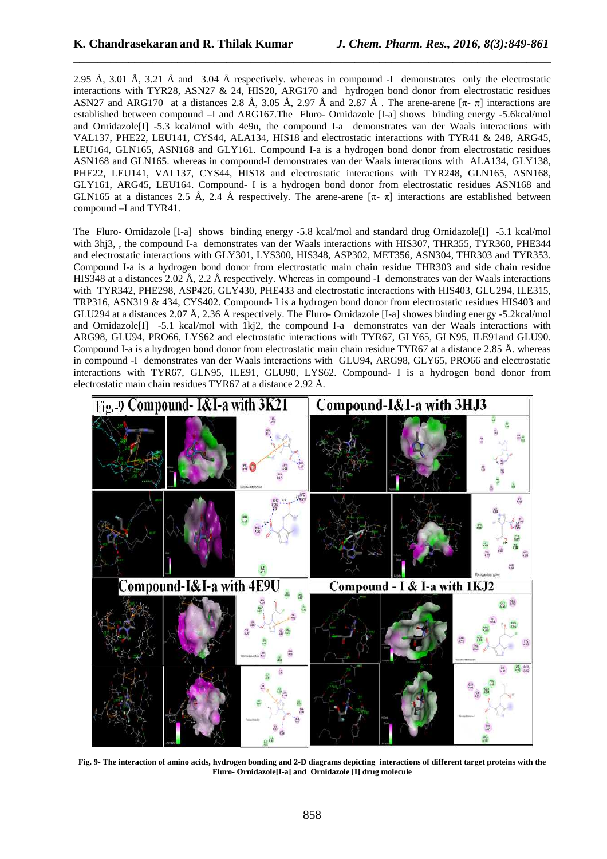2.95 Å, 3.01 Å, 3.21 Å and 3.04 Å respectively. whereas in compound -I demonstrates only the electrostatic interactions with TYR28, ASN27 & 24, HIS20, ARG170 and hydrogen bond donor from electrostatic residues ASN27 and ARG170 at a distances 2.8 Å, 3.05 Å, 2.97 Å and 2.87 Å. The arene-arene  $[\pi - \pi]$  interactions are established between compound –I and ARG167.The Fluro- Ornidazole [I-a] shows binding energy -5.6kcal/mol and Ornidazole[I] -5.3 kcal/mol with 4e9u, the compound I-a demonstrates van der Waals interactions with VAL137, PHE22, LEU141, CYS44, ALA134, HIS18 and electrostatic interactions with TYR41 & 248, ARG45, LEU164, GLN165, ASN168 and GLY161. Compound I-a is a hydrogen bond donor from electrostatic residues ASN168 and GLN165. whereas in compound-I demonstrates van der Waals interactions with ALA134, GLY138, PHE22, LEU141, VAL137, CYS44, HIS18 and electrostatic interactions with TYR248, GLN165, ASN168, GLY161, ARG45, LEU164. Compound- I is a hydrogen bond donor from electrostatic residues ASN168 and GLN165 at a distances 2.5 Å, 2.4 Å respectively. The arene-arene  $[\pi - \pi]$  interactions are established between compound –I and TYR41.

\_\_\_\_\_\_\_\_\_\_\_\_\_\_\_\_\_\_\_\_\_\_\_\_\_\_\_\_\_\_\_\_\_\_\_\_\_\_\_\_\_\_\_\_\_\_\_\_\_\_\_\_\_\_\_\_\_\_\_\_\_\_\_\_\_\_\_\_\_\_\_\_\_\_\_\_\_\_

The Fluro- Ornidazole [I-a] shows binding energy -5.8 kcal/mol and standard drug Ornidazole[I] -5.1 kcal/mol with 3hi3, , the compound I-a demonstrates van der Waals interactions with HIS307, THR355, TYR360, PHE344 and electrostatic interactions with GLY301, LYS300, HIS348, ASP302, MET356, ASN304, THR303 and TYR353. Compound I-a is a hydrogen bond donor from electrostatic main chain residue THR303 and side chain residue HIS348 at a distances 2.02 Å, 2.2 Å respectively. Whereas in compound -I demonstrates van der Waals interactions with TYR342, PHE298, ASP426, GLY430, PHE433 and electrostatic interactions with HIS403, GLU294, ILE315, TRP316, ASN319 & 434, CYS402. Compound- I is a hydrogen bond donor from electrostatic residues HIS403 and GLU294 at a distances 2.07 Å, 2.36 Å respectively. The Fluro- Ornidazole [I-a] showes binding energy -5.2kcal/mol and Ornidazole[I] -5.1 kcal/mol with 1kj2, the compound I-a demonstrates van der Waals interactions with ARG98, GLU94, PRO66, LYS62 and electrostatic interactions with TYR67, GLY65, GLN95, ILE91and GLU90. Compound I-a is a hydrogen bond donor from electrostatic main chain residue TYR67 at a distance 2.85 Å. whereas in compound -I demonstrates van der Waals interactions with GLU94, ARG98, GLY65, PRO66 and electrostatic interactions with TYR67, GLN95, ILE91, GLU90, LYS62. Compound- I is a hydrogen bond donor from electrostatic main chain residues TYR67 at a distance 2.92 Å.



**Fig. 9- The interaction of amino acids, hydrogen bonding and 2-D diagrams depicting interactions of different target proteins with the Fluro- Ornidazole[I-a] and Ornidazole [I] drug molecule**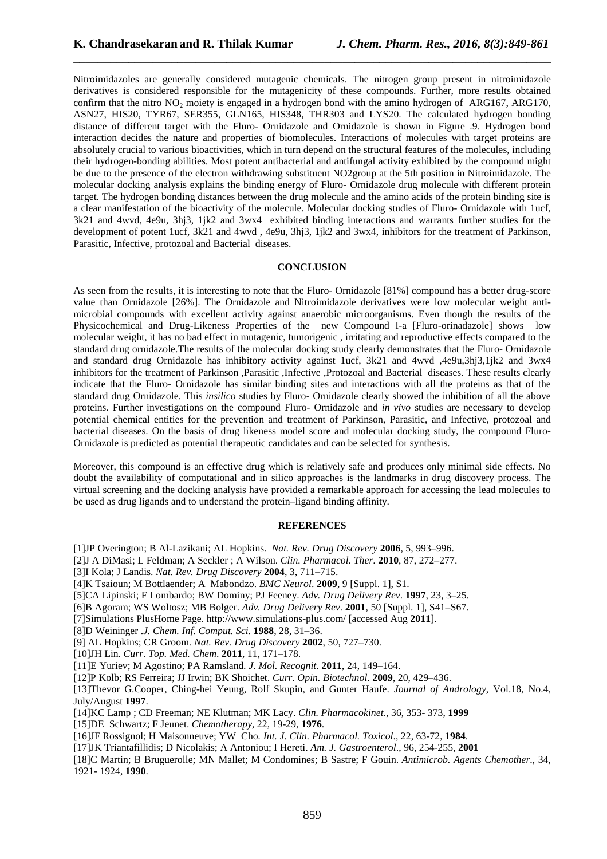Nitroimidazoles are generally considered mutagenic chemicals. The nitrogen group present in nitroimidazole derivatives is considered responsible for the mutagenicity of these compounds. Further, more results obtained confirm that the nitro  $NO<sub>2</sub>$  moiety is engaged in a hydrogen bond with the amino hydrogen of ARG167, ARG170, ASN27, HIS20, TYR67, SER355, GLN165, HIS348, THR303 and LYS20. The calculated hydrogen bonding distance of different target with the Fluro- Ornidazole and Ornidazole is shown in Figure .9. Hydrogen bond interaction decides the nature and properties of biomolecules. Interactions of molecules with target proteins are absolutely crucial to various bioactivities, which in turn depend on the structural features of the molecules, including their hydrogen-bonding abilities. Most potent antibacterial and antifungal activity exhibited by the compound might be due to the presence of the electron withdrawing substituent NO2group at the 5th position in Nitroimidazole. The molecular docking analysis explains the binding energy of Fluro- Ornidazole drug molecule with different protein target. The hydrogen bonding distances between the drug molecule and the amino acids of the protein binding site is a clear manifestation of the bioactivity of the molecule. Molecular docking studies of Fluro- Ornidazole with 1ucf, 3k21 and 4wvd, 4e9u, 3hj3, 1jk2 and 3wx4 exhibited binding interactions and warrants further studies for the development of potent 1ucf, 3k21 and 4wvd , 4e9u, 3hj3, 1jk2 and 3wx4, inhibitors for the treatment of Parkinson, Parasitic, Infective, protozoal and Bacterial diseases.

\_\_\_\_\_\_\_\_\_\_\_\_\_\_\_\_\_\_\_\_\_\_\_\_\_\_\_\_\_\_\_\_\_\_\_\_\_\_\_\_\_\_\_\_\_\_\_\_\_\_\_\_\_\_\_\_\_\_\_\_\_\_\_\_\_\_\_\_\_\_\_\_\_\_\_\_\_\_

## **CONCLUSION**

As seen from the results, it is interesting to note that the Fluro- Ornidazole [81%] compound has a better drug-score value than Ornidazole [26%]. The Ornidazole and Nitroimidazole derivatives were low molecular weight antimicrobial compounds with excellent activity against anaerobic microorganisms. Even though the results of the Physicochemical and Drug-Likeness Properties of the new Compound I-a [Fluro-orinadazole] shows low molecular weight, it has no bad effect in mutagenic, tumorigenic , irritating and reproductive effects compared to the standard drug ornidazole.The results of the molecular docking study clearly demonstrates that the Fluro- Ornidazole and standard drug Ornidazole has inhibitory activity against 1ucf, 3k21 and 4wvd ,4e9u,3hj3,1jk2 and 3wx4 inhibitors for the treatment of Parkinson ,Parasitic ,Infective ,Protozoal and Bacterial diseases. These results clearly indicate that the Fluro- Ornidazole has similar binding sites and interactions with all the proteins as that of the standard drug Ornidazole. This *insilico* studies by Fluro- Ornidazole clearly showed the inhibition of all the above proteins. Further investigations on the compound Fluro- Ornidazole and *in vivo* studies are necessary to develop potential chemical entities for the prevention and treatment of Parkinson, Parasitic, and Infective, protozoal and bacterial diseases. On the basis of drug likeness model score and molecular docking study, the compound Fluro-Ornidazole is predicted as potential therapeutic candidates and can be selected for synthesis.

Moreover, this compound is an effective drug which is relatively safe and produces only minimal side effects. No doubt the availability of computational and in silico approaches is the landmarks in drug discovery process. The virtual screening and the docking analysis have provided a remarkable approach for accessing the lead molecules to be used as drug ligands and to understand the protein–ligand binding affinity.

## **REFERENCES**

[1]JP Overington; B Al-Lazikani; AL Hopkins. *Nat. Rev. Drug Discovery* **2006**, 5, 993–996.

- [2]J A DiMasi; L Feldman; A Seckler ; A Wilson. *Clin. Pharmacol. Ther*. **2010**, 87, 272–277.
- [3]I Kola; J Landis. *Nat. Rev. Drug Discovery* **2004**, 3, 711–715.
- [4]K Tsaioun; M Bottlaender; A Mabondzo. *BMC Neurol*. **2009**, 9 [Suppl. 1], S1.
- [5]CA Lipinski; F Lombardo; BW Dominy; PJ Feeney. *Adv. Drug Delivery Rev*. **1997**, 23, 3–25.
- [6]B Agoram; WS Woltosz; MB Bolger. *Adv. Drug Delivery Rev*. **2001**, 50 [Suppl. 1], S41–S67.

[7]Simulations PlusHome Page. http://www.simulations-plus.com/ [accessed Aug **2011**].

- [8]D Weininger .*J. Chem. Inf. Comput. Sci.* **1988**, 28, 31–36.
- [9] AL Hopkins; CR Groom. *Nat. Rev. Drug Discovery* **2002**, 50, 727–730.

[10]JH Lin. *Curr. Top. Med. Chem*. **2011**, 11, 171–178.

[11]E Yuriev; M Agostino; PA Ramsland*. J. Mol. Recognit*. **2011**, 24, 149–164.

[12]P Kolb; RS Ferreira; JJ Irwin; BK Shoichet. *Curr. Opin. Biotechnol*. **2009**, 20, 429–436.

[13]Thevor G.Cooper, Ching-hei Yeung, Rolf Skupin, and Gunter Haufe. *Journal of Andrology*, Vol.18, No.4, July/August **1997**.

[14]KC Lamp ; CD Freeman; NE Klutman; MK Lacy. *Clin. Pharmacokinet*., 36, 353- 373, **1999**

[15]DE Schwartz; F Jeunet. *Chemotherapy*, 22, 19-29, **1976**.

- [16]JF Rossignol; H Maisonneuve; YW Cho*. Int. J. Clin. Pharmacol. Toxicol*., 22, 63-72, **1984**.
- [17]JK Triantafillidis; D Nicolakis; A Antoniou; I Hereti. *Am. J. Gastroenterol*., 96, 254-255, **2001**
- [18]C Martin; B Bruguerolle; MN Mallet; M Condomines; B Sastre; F Gouin. *Antimicrob. Agents Chemother*., 34, 1921- 1924, **1990**.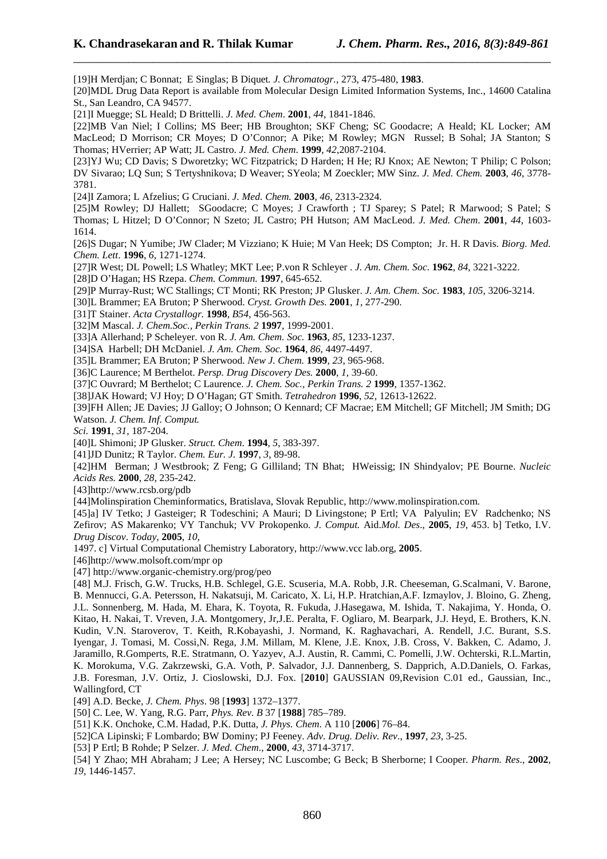[19]H Merdjan; C Bonnat; E Singlas; B Diquet*. J. Chromatogr.,* 273, 475-480, **1983**. [20]MDL Drug Data Report is available from Molecular Design Limited Information Systems, Inc., 14600 Catalina St., San Leandro, CA 94577. [21]I Muegge; SL Heald; D Brittelli. *J. Med. Chem*. **2001**, *44*, 1841-1846. [22]MB Van Niel; I Collins; MS Beer; HB Broughton; SKF Cheng; SC Goodacre; A Heald; KL Locker; AM MacLeod; D Morrison; CR Moyes; D O'Connor; A Pike; M Rowley; MGN Russel; B Sohal; JA Stanton; S Thomas; HVerrier; AP Watt; JL Castro. *J. Med. Chem*. **1999**, *42*,2087-2104. [23]YJ Wu; CD Davis; S Dworetzky; WC Fitzpatrick; D Harden; H He; RJ Knox; AE Newton; T Philip; C Polson; DV Sivarao; LQ Sun; S Tertyshnikova; D Weaver; SYeola; M Zoeckler; MW Sinz. *J. Med. Chem.* **2003**, *46*, 3778- 3781. [24]I Zamora; L Afzelius; G Cruciani. *J. Med. Chem.* **2003**, *46*, 2313-2324. [25]M Rowley; DJ Hallett; SGoodacre; C Moyes; J Crawforth ; TJ Sparey; S Patel; R Marwood; S Patel; S Thomas; L Hitzel; D O'Connor; N Szeto; JL Castro; PH Hutson; AM MacLeod. *J. Med. Chem*. **2001**, *44*, 1603- 1614. [26]S Dugar; N Yumibe; JW Clader; M Vizziano; K Huie; M Van Heek; DS Compton; Jr. H. R Davis. *Biorg. Med. Chem. Lett*. **1996**, *6*, 1271-1274. [27]R West; DL Powell; LS Whatley; MKT Lee; P.von R Schleyer . *J. Am. Chem. Soc.* **1962**, *84*, 3221-3222. [28]D O'Hagan; HS Rzepa. *Chem. Commun.* **1997**, 645-652. [29]P Murray-Rust; WC Stallings; CT Monti; RK Preston; JP Glusker. *J. Am. Chem. Soc.* **1983**, *105*, 3206-3214. [30]L Brammer; EA Bruton; P Sherwood. *Cryst. Growth Des.* **2001**, *1*, 277-290. [31]T Stainer. *Acta Crystallogr.* **1998**, *B54*, 456-563. [32]M Mascal. *J. Chem.Soc., Perkin Trans. 2* **1997**, 1999-2001. [33]A Allerhand; P Scheleyer. von R. *J. Am. Chem. Soc.* **1963**, *85*, 1233-1237. [34]SA Harbell; DH McDaniel. *J. Am. Chem. Soc.* **1964**, *86*, 4497-4497. [35]L Brammer; EA Bruton; P Sherwood. *New J. Chem.* **1999**, *23*, 965-968. [36]C Laurence; M Berthelot. *Persp. Drug Discovery Des.* **2000**, *1,* 39-60. [37]C Ouvrard; M Berthelot; C Laurence. *J. Chem. Soc., Perkin Trans. 2* **1999**, 1357-1362. [38]JAK Howard; VJ Hoy; D O'Hagan; GT Smith. *Tetrahedron* **1996**, *52*, 12613-12622. [39]FH Allen; JE Davies; JJ Galloy; O Johnson; O Kennard; CF Macrae; EM Mitchell; GF Mitchell; JM Smith; DG Watson. *J. Chem. Inf. Comput. Sci.* **1991**, *31*, 187-204. [40]L Shimoni; JP Glusker. *Struct. Chem*. **1994**, *5*, 383-397. [41]JD Dunitz; R Taylor. *Chem. Eur. J.* **1997**, *3*, 89-98. [42]HM Berman; J Westbrook; Z Feng; G Gilliland; TN Bhat; HWeissig; IN Shindyalov; PE Bourne. *Nucleic Acids Res.* **2000**, *28*, 235-242. [43]http://www.rcsb.org/pdb [44]Molinspiration Cheminformatics, Bratislava, Slovak Republic, http://www.molinspiration.com. [45]a] IV Tetko; J Gasteiger; R Todeschini; A Mauri; D Livingstone; P Ertl; VA Palyulin; EV Radchenko; NS Zefirov; AS Makarenko; VY Tanchuk; VV Prokopenko*. J. Comput.* Aid.*Mol. Des*., **2005**, *19*, 453. b] Tetko, I.V. *Drug Discov*. *Today*, **2005**, *10*, 1497. c] Virtual Computational Chemistry Laboratory, http://www.vcc lab.org, **2005**. [46]http://www.molsoft.com/mpr op [47] http://www.organic-chemistry.org/prog/peo [48] M.J. Frisch, G.W. Trucks, H.B. Schlegel, G.E. Scuseria, M.A. Robb, J.R. Cheeseman, G.Scalmani, V. Barone, B. Mennucci, G.A. Petersson, H. Nakatsuji, M. Caricato, X. Li, H.P. Hratchian,A.F. Izmaylov, J. Bloino, G. Zheng, J.L. Sonnenberg, M. Hada, M. Ehara, K. Toyota, R. Fukuda, J.Hasegawa, M. Ishida, T. Nakajima, Y. Honda, O. Kitao, H. Nakai, T. Vreven, J.A. Montgomery, Jr,J.E. Peralta, F. Ogliaro, M. Bearpark, J.J. Heyd, E. Brothers, K.N. Kudin, V.N. Staroverov, T. Keith, R.Kobayashi, J. Normand, K. Raghavachari, A. Rendell, J.C. Burant, S.S. Iyengar, J. Tomasi, M. Cossi,N. Rega, J.M. Millam, M. Klene, J.E. Knox, J.B. Cross, V. Bakken, C. Adamo, J. Jaramillo, R.Gomperts, R.E. Stratmann, O. Yazyev, A.J. Austin, R. Cammi, C. Pomelli, J.W. Ochterski, R.L.Martin, K. Morokuma, V.G. Zakrzewski, G.A. Voth, P. Salvador, J.J. Dannenberg, S. Dapprich, A.D.Daniels, O. Farkas, J.B. Foresman, J.V. Ortiz, J. Cioslowski, D.J. Fox. [**2010**] GAUSSIAN 09,Revision C.01 ed., Gaussian, Inc., Wallingford, CT

\_\_\_\_\_\_\_\_\_\_\_\_\_\_\_\_\_\_\_\_\_\_\_\_\_\_\_\_\_\_\_\_\_\_\_\_\_\_\_\_\_\_\_\_\_\_\_\_\_\_\_\_\_\_\_\_\_\_\_\_\_\_\_\_\_\_\_\_\_\_\_\_\_\_\_\_\_\_

[49] A.D. Becke*, J. Chem. Phys*. 98 [**1993**] 1372–1377.

[50] C. Lee, W. Yang, R.G. Parr, *Phys. Rev. B* 37 [**1988**] 785–789.

[51] K.K. Onchoke, C.M. Hadad, P.K. Dutta, *J. Phys. Chem*. A 110 [**2006**] 76–84.

[52]CA Lipinski; F Lombardo; BW Dominy; PJ Feeney. *Adv. Drug. Deliv. Rev*., **1997**, *23*, 3-25.

[53] P Ertl; B Rohde; P Selzer. *J. Med. Chem*., **2000**, *43*, 3714-3717.

[54] Y Zhao; MH Abraham; J Lee; A Hersey; NC Luscombe; G Beck; B Sherborne; I Cooper*. Pharm. Res*., **2002**, *19*, 1446-1457.